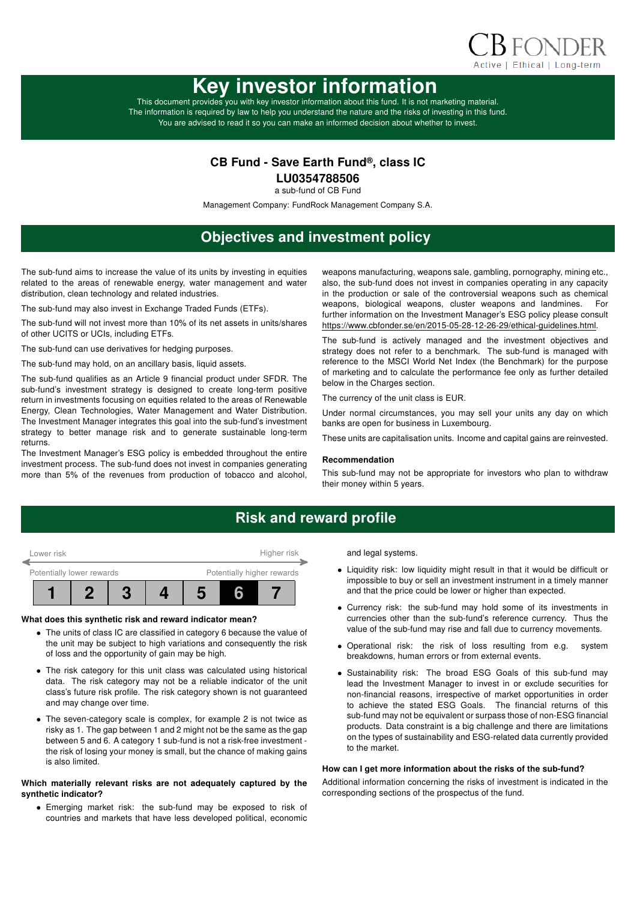

# Key investor information

This document provides you with key investor information about this fund. It is not marketing material. The information is required by law to help you understand the nature and the risks of investing in this fund. You are advised to read it so you can make an informed decision about whether to invest.

### CB Fund - Save Earth Fund®, class IC

LU0354788506

a sub-fund of CB Fund

Management Company: FundRock Management Company S.A.

# Objectives and investment policy

The sub-fund aims to increase the value of its units by investing in equities related to the areas of renewable energy, water management and water distribution, clean technology and related industries.

The sub-fund may also invest in Exchange Traded Funds (ETFs).

The sub-fund will not invest more than 10% of its net assets in units/shares of other UCITS or UCIs, including ETFs.

The sub-fund can use derivatives for hedging purposes.

The sub-fund may hold, on an ancillary basis, liquid assets.

The sub-fund qualifies as an Article 9 financial product under SFDR. The sub-fund's investment strategy is designed to create long-term positive return in investments focusing on equities related to the areas of Renewable Energy, Clean Technologies, Water Management and Water Distribution. The Investment Manager integrates this goal into the sub-fund's investment strategy to better manage risk and to generate sustainable long-term returns.

The Investment Manager's ESG policy is embedded throughout the entire investment process. The sub-fund does not invest in companies generating more than 5% of the revenues from production of tobacco and alcohol, weapons manufacturing, weapons sale, gambling, pornography, mining etc., also, the sub-fund does not invest in companies operating in any capacity in the production or sale of the controversial weapons such as chemical weapons, biological weapons, cluster weapons and landmines. For further information on the Investment Manager's ESG policy please consult https://www.cbfonder.se/en/2015-05-28-12-26-29/ethical-guidelines.html.

The sub-fund is actively managed and the investment objectives and strategy does not refer to a benchmark. The sub-fund is managed with reference to the MSCI World Net Index (the Benchmark) for the purpose of marketing and to calculate the performance fee only as further detailed below in the Charges section.

The currency of the unit class is EUR.

Under normal circumstances, you may sell your units any day on which banks are open for business in Luxembourg.

These units are capitalisation units. Income and capital gains are reinvested.

#### Recommendation

This sub-fund may not be appropriate for investors who plan to withdraw their money within 5 years.

### Risk and reward profile



#### What does this synthetic risk and reward indicator mean?

- The units of class IC are classified in category 6 because the value of the unit may be subject to high variations and consequently the risk of loss and the opportunity of gain may be high.
- The risk category for this unit class was calculated using historical data. The risk category may not be a reliable indicator of the unit class's future risk profile. The risk category shown is not guaranteed and may change over time.
- The seven-category scale is complex, for example 2 is not twice as risky as 1. The gap between 1 and 2 might not be the same as the gap between 5 and 6. A category 1 sub-fund is not a risk-free investment the risk of losing your money is small, but the chance of making gains is also limited.

#### Which materially relevant risks are not adequately captured by the synthetic indicator?

• Emerging market risk: the sub-fund may be exposed to risk of countries and markets that have less developed political, economic and legal systems.

- Liquidity risk: low liquidity might result in that it would be difficult or impossible to buy or sell an investment instrument in a timely manner and that the price could be lower or higher than expected.
- Currency risk: the sub-fund may hold some of its investments in currencies other than the sub-fund's reference currency. Thus the value of the sub-fund may rise and fall due to currency movements.
- Operational risk: the risk of loss resulting from e.g. system breakdowns, human errors or from external events.
- Sustainability risk: The broad ESG Goals of this sub-fund may lead the Investment Manager to invest in or exclude securities for non-financial reasons, irrespective of market opportunities in order to achieve the stated ESG Goals. The financial returns of this sub-fund may not be equivalent or surpass those of non-ESG financial products. Data constraint is a big challenge and there are limitations on the types of sustainability and ESG-related data currently provided to the market.

#### How can I get more information about the risks of the sub-fund?

Additional information concerning the risks of investment is indicated in the corresponding sections of the prospectus of the fund.